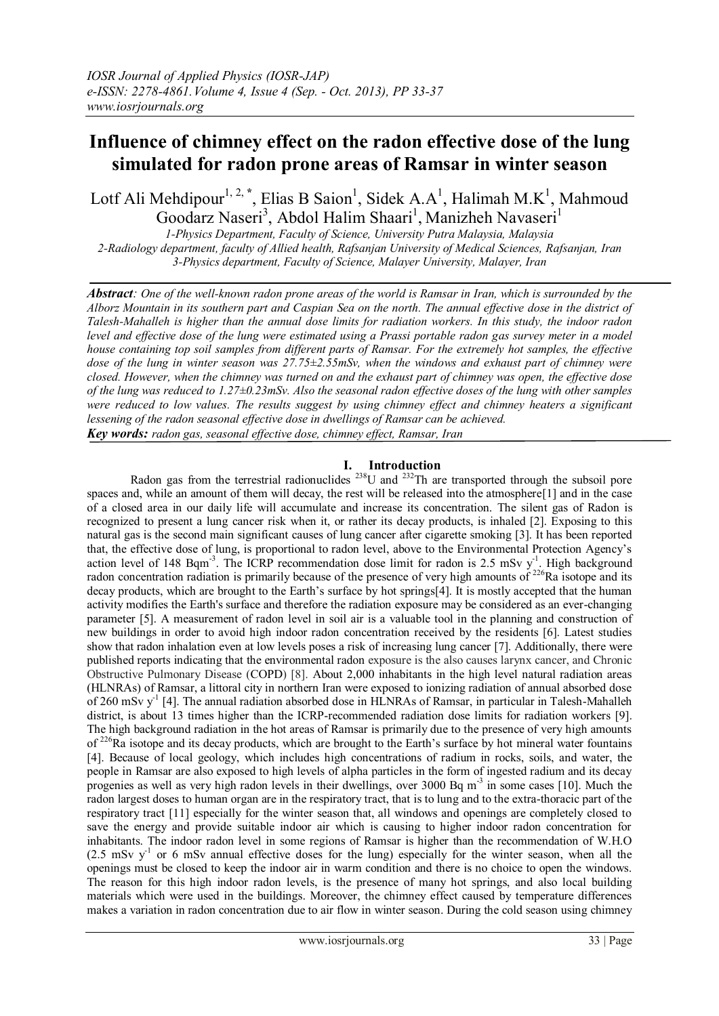# **Influence of chimney effect on the radon effective dose of the lung simulated for radon prone areas of Ramsar in winter season**

Lotf Ali Mehdipour<sup>1, 2,\*</sup>, Elias B Saion<sup>1</sup>, Sidek A.A<sup>1</sup>, Halimah M.K<sup>1</sup>, Mahmoud Goodarz Naseri<sup>3</sup>, Abdol Halim Shaari<sup>1</sup>, Manizheh Navaseri<sup>1</sup>

*1-Physics Department, Faculty of Science, University Putra Malaysia, Malaysia 2-Radiology department, faculty of Allied health, Rafsanjan University of Medical Sciences, Rafsanjan, Iran 3-Physics department, Faculty of Science, Malayer University, Malayer, Iran*

*Abstract: One of the well-known radon prone areas of the world is Ramsar in Iran, which is surrounded by the Alborz Mountain in its southern part and Caspian Sea on the north. The annual effective dose in the district of Talesh-Mahalleh is higher than the annual dose limits for radiation workers. In this study, the indoor radon level and effective dose of the lung were estimated using a Prassi portable radon gas survey meter in a model house containing top soil samples from different parts of Ramsar. For the extremely hot samples, the effective dose of the lung in winter season was 27.75±2.55mSv, when the windows and exhaust part of chimney were closed. However, when the chimney was turned on and the exhaust part of chimney was open, the effective dose of the lung was reduced to 1.27±0.23mSv. Also the seasonal radon effective doses of the lung with other samples were reduced to low values. The results suggest by using chimney effect and chimney heaters a significant lessening of the radon seasonal effective dose in dwellings of Ramsar can be achieved. Key words: radon gas, seasonal effective dose, chimney effect, Ramsar, Iran*

### **I. Introduction**

Radon gas from the terrestrial radionuclides  $^{238}$ U and  $^{232}$ Th are transported through the subsoil pore spaces and, while an amount of them will decay, the rest will be released into the atmosphere[\[1\]](#page-3-0) and in the case of a closed area in our daily life will accumulate and increase its concentration. The silent gas of Radon is recognized to present a lung cancer risk when it, or rather its decay products, is inhaled [\[2\]](#page-3-1). Exposing to this natural gas is the second main significant causes of lung cancer after cigarette smoking [\[3\]](#page-3-2). It has been reported that, the effective dose of lung, is proportional to radon level, above to the Environmental Protection Agency's action level of 148 Bqm<sup>-3</sup>. The ICRP recommendation dose limit for radon is 2.5 mSv  $y<sup>-1</sup>$ . High background radon concentration radiation is primarily because of the presence of very high amounts of <sup>226</sup>Ra isotope and its radion concentration radiation is primarily because of the presence of very high amounts of <sup>226</sup>Ra isotope decay products, which are brought to the Earth's surface by hot springs[\[4\]](#page-3-3). It is mostly accepted that the human activity modifies the Earth's surface and therefore the radiation exposure may be considered as an ever-changing parameter [\[5\]](#page-3-4). A measurement of radon level in soil air is a valuable tool in the planning and construction of new buildings in order to avoid high indoor radon concentration received by the residents [\[6\]](#page-3-5). Latest studies show that radon inhalation even at low levels poses a risk of increasing lung cancer [\[7\]](#page-3-6). Additionally, there were published reports indicating that the environmental radon exposure is the also causes larynx cancer, and Chronic Obstructive Pulmonary Disease (COPD) [\[8\]](#page-3-7). About 2,000 inhabitants in the high level natural radiation areas (HLNRAs) of Ramsar, a littoral city in northern Iran were exposed to ionizing radiation of annual absorbed dose of 260 mSv y<sup>-1</sup> [\[4\]](#page-3-3). The annual radiation absorbed dose in HLNRAs of Ramsar, in particular in Talesh-Mahalleh district, is about 13 times higher than the ICRP-recommended radiation dose limits for radiation workers [\[9\]](#page-3-8). The high background radiation in the hot areas of Ramsar is primarily due to the presence of very high amounts of  $226$ Ra isotope and its decay products, which are brought to the Earth's surface by hot mineral water fountains [\[4\]](#page-3-3). Because of local geology, which includes high concentrations of radium in rocks, soils, and water, the people in Ramsar are also exposed to high levels of alpha particles in the form of ingested radium and its decay progenies as well as very high radon levels in their dwellings, over 3000 Bq m<sup>-3</sup> in some cases [\[10\]](#page-4-0). Much the radon largest doses to human organ are in the respiratory tract, that is to lung and to the extra-thoracic part of the respiratory tract [\[11\]](#page-4-1) especially for the winter season that, all windows and openings are completely closed to save the energy and provide suitable indoor air which is causing to higher indoor radon concentration for inhabitants. The indoor radon level in some regions of Ramsar is higher than the recommendation of W.H.O  $(2.5 \text{ mSv y}^{-1})$  or 6 mSv annual effective doses for the lung) especially for the winter season, when all the openings must be closed to keep the indoor air in warm condition and there is no choice to open the windows. The reason for this high indoor radon levels, is the presence of many hot springs, and also local building materials which were used in the buildings. Moreover, the chimney effect caused by temperature differences makes a variation in radon concentration due to air flow in winter season. During the cold season using chimney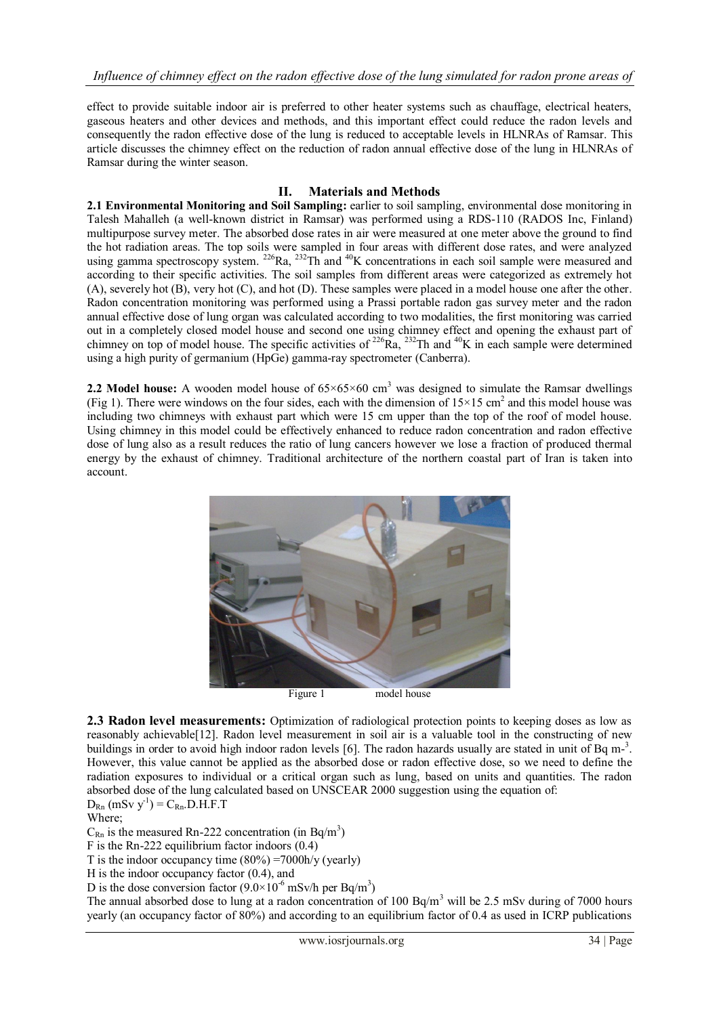effect to provide suitable indoor air is preferred to other heater systems such as chauffage, electrical heaters, gaseous heaters and other devices and methods, and this important effect could reduce the radon levels and consequently the radon effective dose of the lung is reduced to acceptable levels in HLNRAs of Ramsar. This article discusses the chimney effect on the reduction of radon annual effective dose of the lung in HLNRAs of Ramsar during the winter season.

## **II. Materials and Methods**

**2.1 Environmental Monitoring and Soil Sampling:** earlier to soil sampling, environmental dose monitoring in Talesh Mahalleh (a well-known district in Ramsar) was performed using a RDS-110 (RADOS Inc, Finland) multipurpose survey meter. The absorbed dose rates in air were measured at one meter above the ground to find the hot radiation areas. The top soils were sampled in four areas with different dose rates, and were analyzed using gamma spectroscopy system.  $^{226}$ Ra,  $^{232}$ Th and  $^{40}$ K concentrations in each soil sample were measured and according to their specific activities. The soil samples from different areas were categorized as extremely hot (A), severely hot (B), very hot (C), and hot (D). These samples were placed in a model house one after the other. Radon concentration monitoring was performed using a Prassi portable radon gas survey meter and the radon annual effective dose of lung organ was calculated according to two modalities, the first monitoring was carried out in a completely closed model house and second one using chimney effect and opening the exhaust part of chimney on top of model house. The specific activities of  $^{226}Ra$ ,  $^{232}Th$  and  $^{40}K$  in each sample were determined using a high purity of germanium (HpGe) gamma-ray spectrometer (Canberra).

**2.2 Model house:** A wooden model house of  $65 \times 65 \times 60$  cm<sup>3</sup> was designed to simulate the Ramsar dwellings (Fig 1). There were windows on the four sides, each with the dimension of  $15 \times 15$  cm<sup>2</sup> and this model house was including two chimneys with exhaust part which were 15 cm upper than the top of the roof of model house. Using chimney in this model could be effectively enhanced to reduce radon concentration and radon effective dose of lung also as a result reduces the ratio of lung cancers however we lose a fraction of produced thermal energy by the exhaust of chimney. Traditional architecture of the northern coastal part of Iran is taken into account.



**2.3 Radon level measurements:** Optimization of radiological protection points to keeping doses as low as reasonably achievable[\[12\]](#page-4-2). Radon level measurement in soil air is a valuable tool in the constructing of new buildings in order to avoid high indoor radon levels [\[6\]](#page-3-5). The radon hazards usually are stated in unit of Bq m-<sup>3</sup>. However, this value cannot be applied as the absorbed dose or radon effective dose, so we need to define the radiation exposures to individual or a critical organ such as lung, based on units and quantities. The radon absorbed dose of the lung calculated based on UNSCEAR 2000 suggestion using the equation of:  $D_{\text{Rn}}$  (mSv y<sup>-1</sup>) =  $C_{\text{Rn}}$ .D.H.F.T

Where;

 $C_{\text{Rn}}$  is the measured Rn-222 concentration (in Bq/m<sup>3</sup>)

F is the Rn-222 equilibrium factor indoors (0.4)

T is the indoor occupancy time  $(80\%) = 7000$ h/y (yearly)

H is the indoor occupancy factor (0.4), and

D is the dose conversion factor  $(9.0 \times 10^{-6} \text{ mSv/h per Bq/m}^3)$ 

The annual absorbed dose to lung at a radon concentration of 100 Bq/m<sup>3</sup> will be 2.5 mSv during of 7000 hours yearly (an occupancy factor of 80%) and according to an equilibrium factor of 0.4 as used in ICRP publications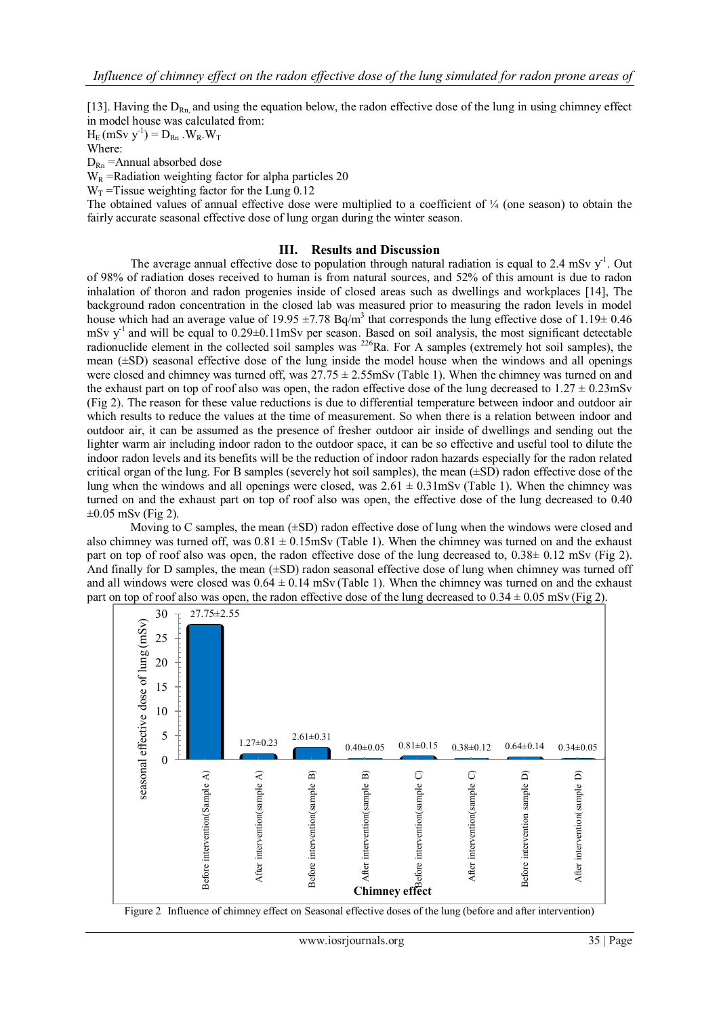[\[13\]](#page-4-3). Having the  $D_{\text{Rn}}$  and using the equation below, the radon effective dose of the lung in using chimney effect in model house was calculated from:

 $H_E$  (mSv y<sup>-1</sup>) =  $D_{Rn}$  . W<sub>R</sub>. W<sub>T</sub>

Where:  $D_{\text{Rn}}$  = Annual absorbed dose

 $W_R$  =Radiation weighting factor for alpha particles 20

 $W_T$  =Tissue weighting factor for the Lung 0.12

The obtained values of annual effective dose were multiplied to a coefficient of  $\frac{1}{4}$  (one season) to obtain the fairly accurate seasonal effective dose of lung organ during the winter season.

#### **III. Results and Discussion**

The average annual effective dose to population through natural radiation is equal to 2.4 mSv  $y<sup>-1</sup>$ . Out of 98% of radiation doses received to human is from natural sources, and 52% of this amount is due to radon inhalation of thoron and radon progenies inside of closed areas such as dwellings and workplaces [\[14\]](#page-4-4), The background radon concentration in the closed lab was measured prior to measuring the radon levels in model house which had an average value of 19.95  $\pm$ 7.78 Bq/m<sup>3</sup> that corresponds the lung effective dose of 1.19 $\pm$  0.46 mSv y<sup>-1</sup> and will be equal to 0.29±0.11mSv per season. Based on soil analysis, the most significant detectable radionuclide element in the collected soil samples was  $^{226}$ Ra. For A samples (extremely hot soil samples), the mean (±SD) seasonal effective dose of the lung inside the model house when the windows and all openings were closed and chimney was turned off, was  $27.75 \pm 2.55$  mSv (Table 1). When the chimney was turned on and the exhaust part on top of roof also was open, the radon effective dose of the lung decreased to  $1.27 \pm 0.23$ mSv (Fig 2). The reason for these value reductions is due to differential temperature between indoor and outdoor air which results to reduce the values at the time of measurement. So when there is a relation between indoor and outdoor air, it can be assumed as the presence of fresher outdoor air inside of dwellings and sending out the lighter warm air including indoor radon to the outdoor space, it can be so effective and useful tool to dilute the indoor radon levels and its benefits will be the reduction of indoor radon hazards especially for the radon related critical organ of the lung. For B samples (severely hot soil samples), the mean (±SD) radon effective dose of the lung when the windows and all openings were closed, was  $2.61 \pm 0.31$  mSv (Table 1). When the chimney was turned on and the exhaust part on top of roof also was open, the effective dose of the lung decreased to 0.40  $\pm 0.05$  mSv (Fig 2).

Moving to C samples, the mean  $(\pm SD)$  radon effective dose of lung when the windows were closed and also chimney was turned off, was  $0.81 \pm 0.15$  mSv (Table 1). When the chimney was turned on and the exhaust part on top of roof also was open, the radon effective dose of the lung decreased to, 0.38± 0.12 mSv (Fig 2). And finally for D samples, the mean  $(\pm SD)$  radon seasonal effective dose of lung when chimney was turned off and all windows were closed was  $0.64 \pm 0.14$  mSv (Table 1). When the chimney was turned on and the exhaust part on top of roof also was open, the radon effective dose of the lung decreased to  $0.34 \pm 0.05$  mSv (Fig 2).



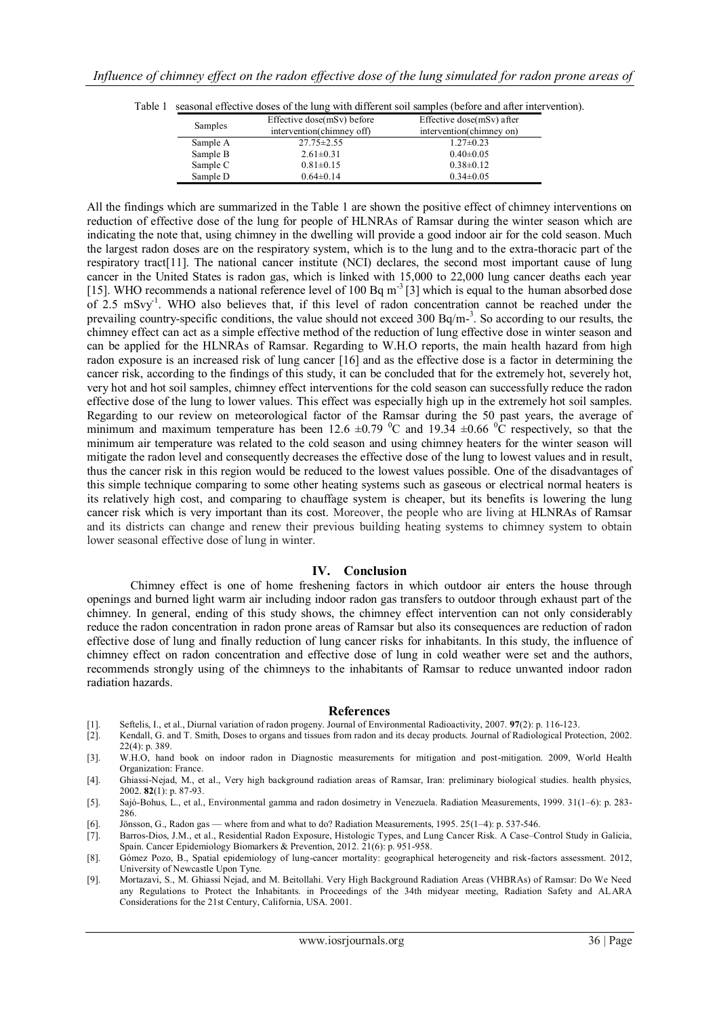|          | Effective dose(mSv) before | Effective dose( $mSv$ ) after |
|----------|----------------------------|-------------------------------|
| Samples  | intervention(chimney off)  | intervention(chimney on)      |
| Sample A | $27.75 \pm 2.55$           | $1.27 \pm 0.23$               |
| Sample B | $2.61 \pm 0.31$            | $0.40 \pm 0.05$               |
| Sample C | $0.81 \pm 0.15$            | $0.38 \pm 0.12$               |
| Sample D | $0.64 \pm 0.14$            | $0.34 \pm 0.05$               |

| Table 1 seasonal effective doses of the lung with different soil samples (before and after intervention). |  |
|-----------------------------------------------------------------------------------------------------------|--|
|                                                                                                           |  |

All the findings which are summarized in the Table 1 are shown the positive effect of chimney interventions on reduction of effective dose of the lung for people of HLNRAs of Ramsar during the winter season which are indicating the note that, using chimney in the dwelling will provide a good indoor air for the cold season. Much the largest radon doses are on the respiratory system, which is to the lung and to the extra-thoracic part of the respiratory tract[\[11\]](#page-4-1). The national cancer institute (NCI) declares, the second most important cause of lung cancer in the United States is radon gas, which is linked with 15,000 to 22,000 lung cancer deaths each year [\[15\]](#page-4-5). WHO recommends a national reference level of 100 Bq m<sup>-3</sup> [\[3\]](#page-3-2) which is equal to the human absorbed dose of 2.5 mSvy<sup>1</sup>. WHO also believes that, if this level of radon concentration cannot be reached under the prevailing country-specific conditions, the value should not exceed 300 Bq/m-<sup>3</sup>. So according to our results, the chimney effect can act as a simple effective method of the reduction of lung effective dose in winter season and can be applied for the HLNRAs of Ramsar. Regarding to W.H.O reports, the main health hazard from high radon exposure is an increased risk of lung cancer [\[16\]](#page-4-6) and as the effective dose is a factor in determining the cancer risk, according to the findings of this study, it can be concluded that for the extremely hot, severely hot, very hot and hot soil samples, chimney effect interventions for the cold season can successfully reduce the radon effective dose of the lung to lower values. This effect was especially high up in the extremely hot soil samples. Regarding to our review on meteorological factor of the Ramsar during the 50 past years, the average of minimum and maximum temperature has been 12.6  $\pm$ 0.79 <sup>0</sup>C and 19.34  $\pm$ 0.66 <sup>0</sup>C respectively, so that the minimum air temperature was related to the cold season and using chimney heaters for the winter season will mitigate the radon level and consequently decreases the effective dose of the lung to lowest values and in result, thus the cancer risk in this region would be reduced to the lowest values possible. One of the disadvantages of this simple technique comparing to some other heating systems such as gaseous or electrical normal heaters is its relatively high cost, and comparing to chauffage system is cheaper, but its benefits is lowering the lung cancer risk which is very important than its cost. Moreover, the people who are living at HLNRAs of Ramsar and its districts can change and renew their previous building heating systems to chimney system to obtain lower seasonal effective dose of lung in winter.

#### **IV. Conclusion**

Chimney effect is one of home freshening factors in which outdoor air enters the house through openings and burned light warm air including indoor radon gas transfers to outdoor through exhaust part of the chimney. In general, ending of this study shows, the chimney effect intervention can not only considerably reduce the radon concentration in radon prone areas of Ramsar but also its consequences are reduction of radon effective dose of lung and finally reduction of lung cancer risks for inhabitants. In this study, the influence of chimney effect on radon concentration and effective dose of lung in cold weather were set and the authors, recommends strongly using of the chimneys to the inhabitants of Ramsar to reduce unwanted indoor radon radiation hazards.

#### **References**

- <span id="page-3-0"></span>[1]. Seftelis, I., et al., Diurnal variation of radon progeny. Journal of Environmental Radioactivity, 2007. **97**(2): p. 116-123.
- <span id="page-3-1"></span>[2]. Kendall, G. and T. Smith, Doses to organs and tissues from radon and its decay products. Journal of Radiological Protection, 2002. 22(4): p. 389.
- <span id="page-3-2"></span>[3]. W.H.O, hand book on indoor radon in Diagnostic measurements for mitigation and post-mitigation. 2009, World Health Organization: France.
- <span id="page-3-3"></span>[4]. Ghiassi-Nejad, M., et al., Very high background radiation areas of Ramsar, Iran: preliminary biological studies. health physics, 2002. **82**(1): p. 87-93.
- <span id="page-3-4"></span>[5]. Sajó-Bohus, L., et al., Environmental gamma and radon dosimetry in Venezuela. Radiation Measurements, 1999. 31(1–6): p. 283- 286.
- <span id="page-3-5"></span>[6]. Jönsson, G., Radon gas — where from and what to do? Radiation Measurements, 1995. 25(1–4): p. 537-546.
- <span id="page-3-6"></span>[7]. Barros-Dios, J.M., et al., Residential Radon Exposure, Histologic Types, and Lung Cancer Risk. A Case–Control Study in Galicia, Spain. Cancer Epidemiology Biomarkers & Prevention, 2012. 21(6): p. 951-958.
- <span id="page-3-7"></span>[8]. Gómez Pozo, B., Spatial epidemiology of lung-cancer mortality: geographical heterogeneity and risk-factors assessment. 2012, University of Newcastle Upon Tyne.
- <span id="page-3-8"></span>[9]. Mortazavi, S., M. Ghiassi Nejad, and M. Beitollahi. Very High Background Radiation Areas (VHBRAs) of Ramsar: Do We Need any Regulations to Protect the Inhabitants. in Proceedings of the 34th midyear meeting, Radiation Safety and ALARA Considerations for the 21st Century, California, USA. 2001.